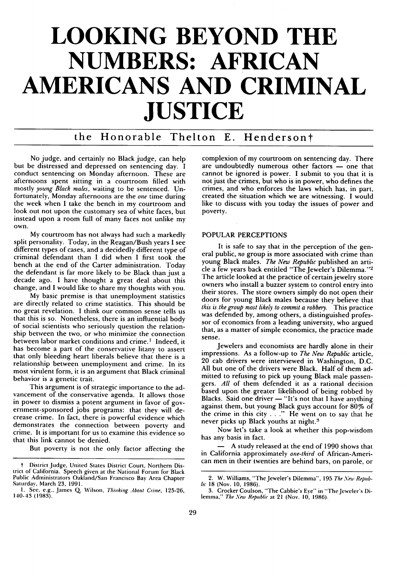# **LOOKING BEYOND THE NUMBERS: AFRICAN AMERICANS AND CRIMINAL JUSTICE**

# the Honorable Thelton **E.** Hendersont

No judge, and certainly no Black judge, can help but be distressed and depressed on sentencing day. I conduct sentencing on Monday afternoon. These are afternoons spent sitting in a courtroom filled with mostly *young* Black *males,* waiting to be sentenced. Unfortunately, Monday afternoons are the *one* time during the week when I take the bench in my courtroom and look out not upon the customary sea of white faces, but instead upon a room full of many faces not unlike my own.

**My** courtroom has not always had such a markedly split personality. Today, in the Reagan/Bush years **I** see different types of cases, and a decidedly different type of criminal defendant than I did when I first took the bench at the end of the Carter administration. Today the defendant is far more likely to be Black than just a decade ago. **I** have thought a great deal about this change, and **I** would like to share my thoughts with you.

**My** basic premise is that unemployment statistics are directly related to crime statistics. This should be no great revelation. **I** think our common sense tells us that this is so. Nonetheless, there is an influential body of social scientists who seriously question the relationship between the two, or who minimize the connection between labor market conditions and crime.<sup>1</sup> Indeed, it has become a part of the conservative litany to assert that only bleeding heart liberals believe that there is a relationship between unemployment and crime. In its most virulent form, it is an argument that Black criminal behavior is a genetic trait.

This argument is of strategic importance to the advancement of the conservative agenda. It allows those in power to dismiss a potent argument in favor of government.-sponsored jobs programs: that they will decrease crime. In fact, there is powerful evidence which demonstrates the connection between poverty and crime. **It** is important for us to examine this evidence so that this link cannot be denied.

But poverty is not the only factor affecting the

complexion of my courtroom on sentencing day. There are undoubtedly numerous other factors  $-$  one that cannot be ignored is power. I submit to you that it is not just the crimes, but who is in power, who defines the crimes, and who enforces the laws which has, in part, created the situation which we are witnessing. I would like to discuss with you today the issues of power and poverty.

### POPULAR PERCEPTIONS

It is safe to say that in the perception of the general public, *no* group is more associated with crime than young Black males. *The New* Republic published an article a few years back entitled "The Jeweler's Dilemma."<sup>2</sup> The article looked at the practice of certain jewelry store owners who install a buzzer system to control entry into their stores. The store owners simply do not open their doors for young Black males because they believe that *this is the group most likely to commit a robbery.* This practice was defended by, among others, a distinguished professor of economics from a leading university, who argued that, as a matter of simple economics, the practice made sense.

Jewelers and economists are hardly alone in their impressions. As a follow-up to *The New Republic* article, 20 cab drivers were interviewed in Washington, D.C. All but one of the drivers were Black. Half of them admitted to refusing to pick up young Black male passengers. *All* of them defended it as a rational decision based upon the. greater likelihood of being robbed by Blacks. Said one driver  $-$  "It's not that I have anything against them, but young Black guys account for 80% of the crime in this city  $\ldots$ ." He went on to say that he never picks up Black youths at night.

Now let's take a look at whether this pop-wisdom has any basis in fact.

**-** A study released at the end of 1990 shows that in California approximately *one-third* of African-American men in their twenties are behind bars, on parole, or

District Judge, United States District Court, Northern District of California. Speech given at the National Forum for Black Public Administrators Oakland/San Francisco Bay Area Chapter Saturday, March **23, 1991.**

**I. See,** e.g., James **Q** Wilson, Thinking *About* Crime, **125-26,** 140-43 **(1983).**

<sup>2.</sup> W. Williams, "The Jeweler's Dilemma", 195 The New Repub*lic* 18 (Nov. 10, 1986).

<sup>3.</sup> Crocker Coulson, "The Cabbie's Eye" in "The Jeweler's Dilemma," The *.New Republic* at 21 (Nov. **16,** 1986).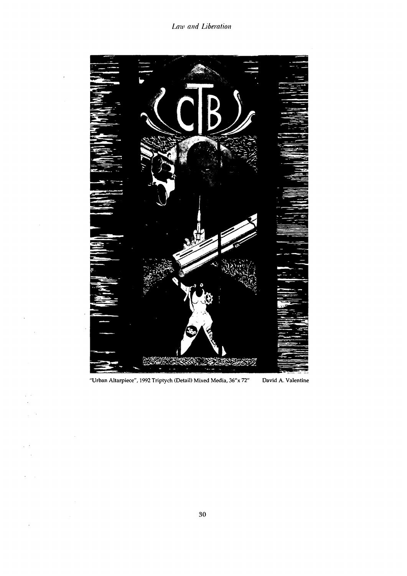

**"Urban Altarpiece", 1992 Triptych (Detail) Mixed Media, 36"x** *72"* **David A. Valentine**

 $\ddot{\phantom{0}}$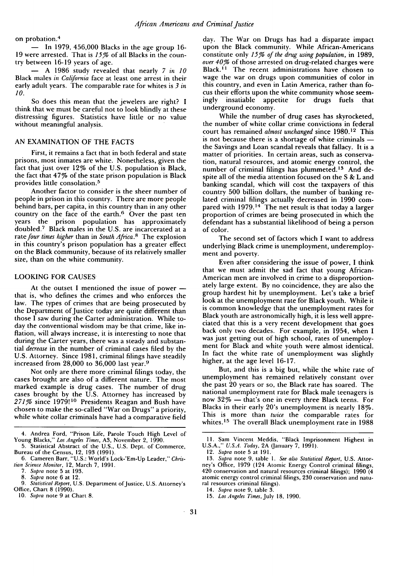on probation. <sup>4</sup>

 $-$  In 1979, 456,000 Blacks in the age group 16-19 were arrested. That is *1576* of all Blacks in the country between 16-19 years of age.

**-** A 1986 study revealed that nearly *7 in* **10** Black males *in California* face at least one arrest in their early adult years. The comparable rate for whites is *3 in* **10.**

So does this mean that the jewelers are right? I think that we must be careful not to look blindly at these distressing figures. Statistics have little or no value without meaningful analysis.

## AN EXAMINATION OF THE FACTS

First, it remains a fact that in both federal and state prisons, most inmates are white. Nonetheless, given the fact that just over 12% of the U.S. population is Black, the fact that 47% of the state prison population is Black provides little consolation. <sup>5</sup>

Another factor to consider is the sheer number of people in prison in this country. There are more people behind bars, per capita, in this country than in any other country on the face of the earth. $6$  Over the past ten years the prison population has approximately doubled.<sup>7</sup> Black males in the U.S. are incarcerated at a rate four times higher than in *South Africa*.<sup>8</sup> The explosion in this country's prison population has a greater effect on the Black community, because of its relatively smaller size, than on the white community.

#### LOOKING FOR CAUSES

At the outset I mentioned the issue of power  that is, who defines the crimes and who enforces the law. The types of crimes that are being prosecuted by the Department of Justice today are quite different than those I saw during the Carter administration. While today the conventional wisdom may be that crime, like inflation, will always increase, it is interesting to note that during the Carter years, there was a steady and substantial *decrease* in the number of criminal cases filed by the U.S. Attorney. Since 1981, criminal filings have steadily increased from 28,000 to 36,000 last year. <sup>9</sup>

Not only are there more criminal filings today, the cases brought are also of a different nature. The most marked example is drug cases. The number of drug cases brought by the U.S. Attorney has increased by *27176* since 1979!10 Presidents Reagan and Bush have chosen to make the so-called "War on Drugs" a priority, while white collar criminals have had a comparative field

day. The War on Drugs has had a disparate impact upon the Black community. While African-Americans constitute only *1576 of the drug using population,* in 1989, *over 40%* of those arrested on drug-related charges were Black.<sup>11</sup> The recent administrations have chosen to wage the war on drugs upon communities of color in this country, and even in Latin America, rather than focus their efforts upon the white community whose seemingly insatiable appetite for drugs fuels that underground economy.

While the number of drug cases has skyrocketed, the number of white collar crime convictions in federal court has remained *almost unchanged* since 1980.12 This is not because there is a shortage of white criminals  $$ the Savings and Loan scandal reveals that fallacy. It is a matter of priorities. In certain areas, such as conservation, natural resources, and atomic energy control, the number of criminal filings has plummeted. 13 And despite all of the media attention focused on the S & L and banking scandal, which will cost the taxpayers of this country 500 billion dollars, the number of banking related criminal filings actually decreased in 1990 compared with  $1979$ .<sup>14</sup> The net result is that today a larger proportion of crimes are being prosecuted in which the defendant has a substantial likelihood of being a person of color.

The second set of factors which I want to address underlying Black crime is unemployment, underemployment and poverty.

Even after considering the issue of power, I think that we must admit the sad fact that young African-American men are involved in crime to a disproportionately large extent. By no coincidence, they are also the group hardest hit by unemployment. Let's take a brief look at the unemployment rate for Black youth. While it is common knowledge that the unemployment rates for Black youth are astronomically high, it is less well appreciated that this is a very recent development that goes back only two decades. For example, in 1954, when I was just getting out of high school, rates of unemployment for Black and white youth were almost identical. In fact the white rate of unemployment was slightly higher, at the age level 16-17.

But, and this is a big but, while the white rate of unemployment has remained relatively constant over the past 20 years or so, the Black rate has soared. The national unemployment rate for Black male teenagers is now  $32\%$  — that's one in every three Black teens. For Blacks in their early 20's unemployment is nearly 18%. This is more than *twice* the comparable rates for whites.<sup>15</sup> The overall Black unemployment rate in 1988

<sup>4.</sup> Andrea Ford, "Prison Life, Parole Touch High Level of Young Blacks," *Los Angeles Times,* A3, November 2, 1990.

<sup>5.</sup> Statistical Abstract of the U.S., U.S. Dept. of Commerce, Bureau of the Census, 12, 193 (1991).

<sup>6.</sup> Cameren Barr, "U.S.: World's Lock-'Em-Up Leader," *Chrislion Science .llonitor,* 12, March 7, 1991.

<sup>7.</sup> Supra note 5 at 193.

<sup>8.</sup> *Supra* note 6 at 12.

<sup>9.</sup> *Statistical Report, U.S. Department of Justice, U.S. Attorney's* Office, Chart 8 (1990).

<sup>10.</sup> *Supra* note 9 at Chart 8.

**<sup>11.</sup>** Sam Vincent Meddis, "Black Imprisonment Highest in U.S.A.," *U.S.A. Today,* 2A (January 7, 1991).

<sup>12.</sup> *Supra* note 5 at 191.

<sup>13.</sup> *Supra* note 9, table 1. *See also Statistical Report,* U.S. Attorney's Office, 1979 (124 Atomic Energy Control criminal filings, 420 conservation and natural resources criminal filings); 1990 (4 atomic energy control criminal filings, 230 conservation and natural resources criminal filings).

<sup>14.</sup> *Supra* note 9, table 3. 15. *Los Angeles Times, July* 18, 1990.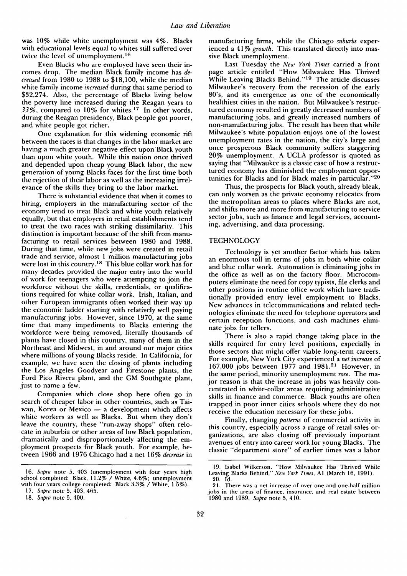was 10% while white unemployment was 4%. Blacks with educational levels equal to whites still suffered over twice the level of unemployment.<sup>16</sup>

Even Blacks who are employed have seen their incomes drop. The median Black family income has *decreased* from 1980 to 1988 to \$18,100, while the median white family income *increased* during that same period to \$32,274. Also, the percentage of Blacks living below the poverty line increased during the Reagan years to *3376,* compared to 10% for whites. 17 In other words, during the Reagan presidency, Black people got poorer, and white people got richer.

One explanation for this widening economic rift between the races is that changes in the labor market are having a much greater negative effect upon Black youth than upon white youth. While this nation once thrived and depended upon cheap young Black labor, the new generation of young Blacks faces for the first time both the rejection of their labor as well as the increasing irrelevance of the skills they bring to the labor market.

There is substantial evidence that when it comes to hiring, employers in the manufacturing sector of the economy tend to treat Black and white youth relatively equally, but that employers in retail establishments tend to treat the two races with striking dissimilarity. This distinction is important because of the shift from manufacturing to retail services between 1980 and 1988. During that time, while new jobs were created in retail trade and service, almost 1 million manufacturing jobs were lost in this country.<sup>18</sup> This blue collar work has for many decades provided the major entry into the world of work for teenagers who were attempting to join the workforce without the skills, credentials, or qualifications required for white collar work. Irish, Italian, and other European immigrants often worked their way up the economic ladder starting with relatively well paying manufacturing jobs. However, since 1970, at the same time that many impediments to Blacks entering the workforce were being removed, literally thousands of plants have closed in this country, many of them in the Northeast and Midwest, in and around our major cities where millions of young Blacks reside. In California, for example, we have seen the closing of plants including the Los Angeles Goodyear and Firestone plants, the Ford Pico Rivera plant, and the GM Southgate plant, just to name a few.

Companies which close shop here often go in search of cheaper labor in other countries, such as Taiwan, Korea or Mexico - a development which affects white workers as well as Blacks. But when they don't leave the country, these "run-away shops" often relocate in suburbia or other areas of low Black population, dramatically and disproportionately affecting the employment prospects for Black youth. For example, between 1966 and 1976 Chicago had a net 16% *decrease* in

 $\mathcal{A}$ 

manufacturing firms, while the Chicago *suburbs* experienced a 41% growth. This translated directly into massive Black unemployment.

Last Tuesday the *New York Times* carried a front page article entitled "How Milwaukee Has Thrived While Leaving Blacks Behind."<sup>19</sup> The article discusses Milwaukee's recovery from the recession of the early 80's, and its emergence as one of the economically healthiest cities in the nation. But Milwaukee's restructured economy resulted in greatly decreased numbers of manufacturing jobs, and greatly increased numbers of non-manufacturing jobs. The result has been that while Milwaukee's white population enjoys one of the lowest unemployment rates in the nation, the city's large and once prosperous Black community suffers staggering 20% unemployment. A UCLA professor is quoted as saying that "Milwaukee is a classic case of how a restructured economy has diminished the employment opportunities for Blacks and for Black males in particular."<sup>20</sup>

Thus, the prospects for Black youth, already bleak, can only worsen as the private economy relocates from the metropolitan areas to places where Blacks are not, and shifts more and more from manufacturing to service sector jobs, such as finance and legal services, accounting, advertising, and data processing.

#### **TECHNOLOGY**

Technology is yet another factor which has taken an enormous toll in terms of jobs in both white collar and blue collar work. Automation is eliminating jobs in the office as well as on the factory floor. Microcomputers eliminate the need for copy typists, file clerks and other positions in routine office work which have traditionally provided entry level employment to Blacks. New advances in telecommunications and related technologies eliminate the need for telephone operators and certain reception functions, and cash machines eliminate jobs for tellers.

There is also a rapid change taking place in the skills required for entry level positions, especially in those sectors that might offer viable long-term careers. For example, New York City experienced a *net increase* of 167,000 jobs between 1977 and 1981.21 However, in the same period, minority unemployment *rose.* The major reason is that the increase in jobs was heavily concentrated in white-collar areas requiring administrative skills in finance and commerce. Black youths are often trapped in poor inner cities schools where they do not receive the education necessary for these jobs.

Finally, changing *patterns* of commercial activity in this country, especially across a range of retail sales organizations, are also closing off previously important avenues of entry into career work for young Blacks. The classic "department store" of earlier times was a labor

<sup>16.</sup> Supra note 5, 403 (unemployment with four years high school completed: Black, 11.2% / White, 4.6%; unemployment with four years college completed: Black 3.3% / White, 1.5%).

<sup>17.</sup> Supra note 5, 403, 465.

<sup>18.</sup> Supra note 5, 400.

<sup>19.</sup> Isabel Wilkerson, "How Milwaukee Has Thrived While Leaving Blacks Behind," New York Times, **Al** (March 16, 1991). 20. Id.

<sup>21.</sup> There was a net increase of over one and one-half million jobs in the areas of finance, insurance, and real estate between 1980 and 1989. Supra note 5, 410.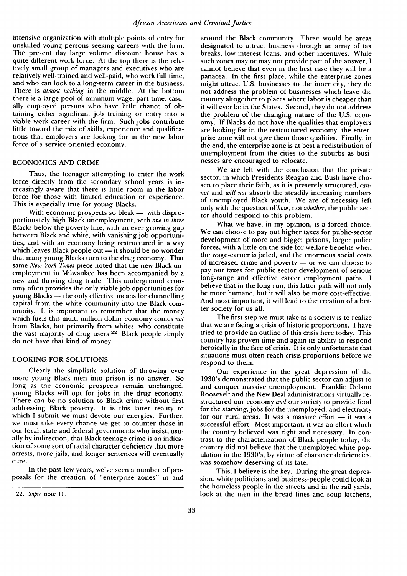intensive organization with multiple points of entry for unskilled young persons seeking careers with the firm. The present day large volume discount house has a quite different work force. At the top there is the relatively small group of managers and executives who are relatively well-trained and well-paid, who work full time, and who can look to a long-term career in the business. There is *almost nothing* in the middle. At the bottom there is a large pool of minimum wage, part-time, casually employed persons who have little chance of obtaining either significant job training or entry into a viable work career with the firm. Such jobs contribute little toward the mix of skills, experience and qualifications that employers are looking for in the new labor force of a service oriented economy.

# ECONOMICS AND CRIME

Thus, the teenager attempting to enter the work force directly from the secondary school years is increasingly aware that there is little room in the labor force for those with limited education or experience. This is especially true for young Blacks.

With economic prospects so bleak - with disproportionately high Black unemployment, with *one in three* Blacks below the poverty line, with an ever growing gap between Black and white, with vanishing job opportunities, and with an economy being restructured in a way which leaves Black people out - it should be no wonder that many, young Blacks turn to the drug economy. That same *New York Times* piece noted that the new Black unemployment in Milwaukee has been accompanied by a new and thriving drug trade. This underground economy often provides the only viable job opportunities for young Blacks **-** the only effective means for channelling capital from the white community into the Black community. It is important to remember that the money which fuels this multi-million dollar economy comes *not* from Blacks, but primarily from whites, who constitute the vast majority of drug users.<sup>22</sup> Black people simply do not have that kind of money.

#### LOOKING FOR SOLUTIONS

Clearly the simplistic solution of throwing ever more young Black men into prison is no answer. So long as the economic prospects remain unchanged, young Blacks will opt for jobs in the drug economy. There can be no solution to Black crime without first addressing Black poverty. It is this latter reality to which I submit we must devote our energies. Further, we must take every chance we get to counter those in our local, state and federal governments who insist, usually by indirection, that Black teenage crime is an indication of some sort of racial character deficiency that more arrests, more jails, and longer sentences will eventually cure.

In the past few years, we've seen a number of proposals for the creation of "enterprise zones" in and

around the Black community. These would be areas designated to attract business through an array of tax breaks, low interest loans, and other incentives. While such zones may or may not provide part of the answer, I cannot believe that even in the best case they will be a panacea. In the first place, while the enterprise zones might attract U.S. businesses to the inner city, they do not address the problem of businesses which leave the country altogether to places where labor is cheaper than it will ever be in the States. Second, they do not address the problem of the changing nature of the U.S. economy. If Blacks do not have the qualities that employers are looking for in the restructured economy, the enterprise zone will not give them those qualities. Finally, in the end, the enterprise zone is at best a redistribution of unemployment from the cities to the suburbs as businesses are encouraged to relocate.

We are left with the conclusion that the private sector, in which Presidents Reagan and Bush have chosen to place their faith, as it is presently structured, *cannot* and *will not* absorb the steadily increasing numbers of unemployed Black youth. We are of necessity left only with the question of *how,* not *whether,* the public sector should respond to this problem.

What we have, in my opinion, is a forced choice. We can choose to pay out higher taxes for public-sector development of more and bigger prisons, larger police forces, with a little on the side for welfare benefits when the wage-earner is jailed, and the enormous social costs of increased crime and poverty **-** or we can choose to pay our taxes for public sector development of serious long-range and effective career employment paths. I believe that in the long run, this latter path will not only be more humane, but it will also be more cost-effective. And most important, it will lead to the creation of a better society for us all.

The first step we must take as a society is to realize that we are facing a crisis of historic proportions. I have tried to provide an outline of this crisis here today. This country has proven time and again its ability to respond heroically in the face of crisis. It is only unfortunate that situations must often reach crisis proportions before we respond to them.

Our experience in the great depression of the 1930's demonstrated that the public sector can adjust to and conquer massive unemployment. Franklin Delano Roosevelt and the New Deal administrations virtually restructured our economy *and* our society to provide food for the starving, jobs for the unemployed, and electricity for our rural areas. It was a massive effort  $-$  it was a successful effort. Most important, it was an effort which the country believed was right and necessary. In contrast to the characterization of Black people today, the country did not believe that the unemployed white population in the 1930's, by virtue of character deficiencies, was somehow deserving of its fate.

This, I believe is the key. During the great depression, white politicians and business-people could look at the homeless people in the streets and in the rail yards, look at the men in the bread lines and soup kitchens,

<sup>22.</sup> Supra note **I.**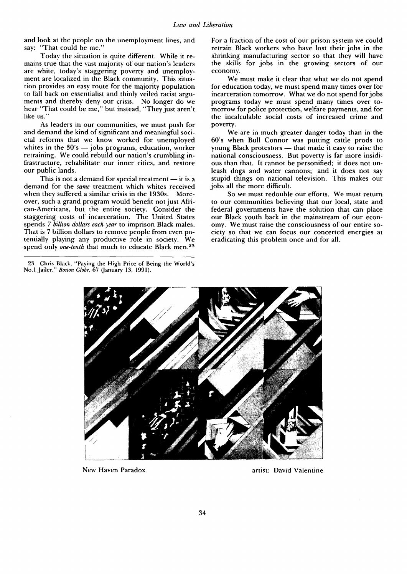and look at the people on the unemployment lines, and say: "That could be me."

Today the situation is quite different. While it remains true that the vast majority of our nation's leaders are white, today's staggering poverty and unemployment are localized in the Black community. This situation provides an easy route for the majority population to fall back on essentialist and thinly veiled racist arguments and thereby deny our crisis. No longer do we hear "That could be me," but instead, "They just aren't like us."

As leaders in our communities, we must push for and demand the kind of significant and meaningful societal reforms that we know worked for unemployed whites in the  $30's$  -jobs programs, education, worker retraining. We could rebuild our nation's crumbling infrastructure, rehabilitate our inner cities, and restore our public lands.

This is not a demand for special treatment  $-$  it is a demand for the *same* treatment which whites received when they suffered a similar crisis in the 1930s. Moreover, such a grand program would benefit not just African-Americans, but the entire society. Consider the staggering costs of incarceration. The United States spends *7 billion dollars each year* to imprison Black males. That is 7 billion dollars to remove people from even potentially playing any productive role in society. We spend only *one-tenth* that much to educate Black men.<sup>23</sup>

For a fraction of the cost of our prison system we could retrain Black workers who have lost their jobs in the shrinking manufacturing sector so that they will have the skills for jobs in the growing sectors of our economy.

We must make it clear that what we do not spend for education today, we must spend many times over for incarceration tomorrow. What we do not spend for jobs programs today we must spend many times over tomorrow for police protection, welfare payments, and for the incalculable social costs of increased crime and poverty.

We are in much greater danger today than in the 60's when Bull Connor was putting cattle prods to young Black protestors  $-$  that made it easy to raise the national consciousness. But poverty is far more insidious than that. It cannot be personified; it does not unleash dogs and water cannons; and it does not say stupid things on national television. This makes our jobs all the more difficult.

So we must redouble our efforts. We must return to our communities believing that our local, state and federal governments have the solution that can place our Black youth back in the mainstream of our economy. We must raise the consciousness of our entire society so that we can focus our concerted energies at eradicating this problem once and for all.



New Haven Paradox and a structure artist: David Valentine

<sup>23.</sup> Chris Black, "Paying the High Price of Being the World's No.1 Jailer," *Boston Globe,* 67 (January 13, 1991).